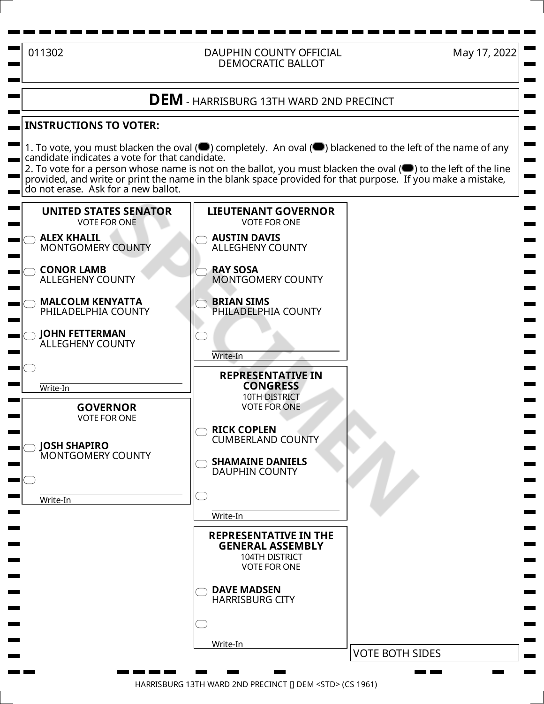## 011302 DAUPHIN COUNTY OFFICIAL DEMOCRATIC BALLOT

May 17, 2022

## **DEM** - HARRISBURG 13TH WARD 2ND PRECINCT

## **INSTRUCTIONS TO VOTER:**

1. To vote, you must blacken the oval ( $\blacksquare$ ) completely. An oval ( $\blacksquare$ ) blackened to the left of the name of any candidate indicates a vote for that candidate.

2. To vote for a person whose name is not on the ballot, you must blacken the oval  $(\bullet)$  to the left of the line provided, and write or print the name in the blank space provided for that purpose. If you make a mistake, do not erase. Ask for a new ballot.